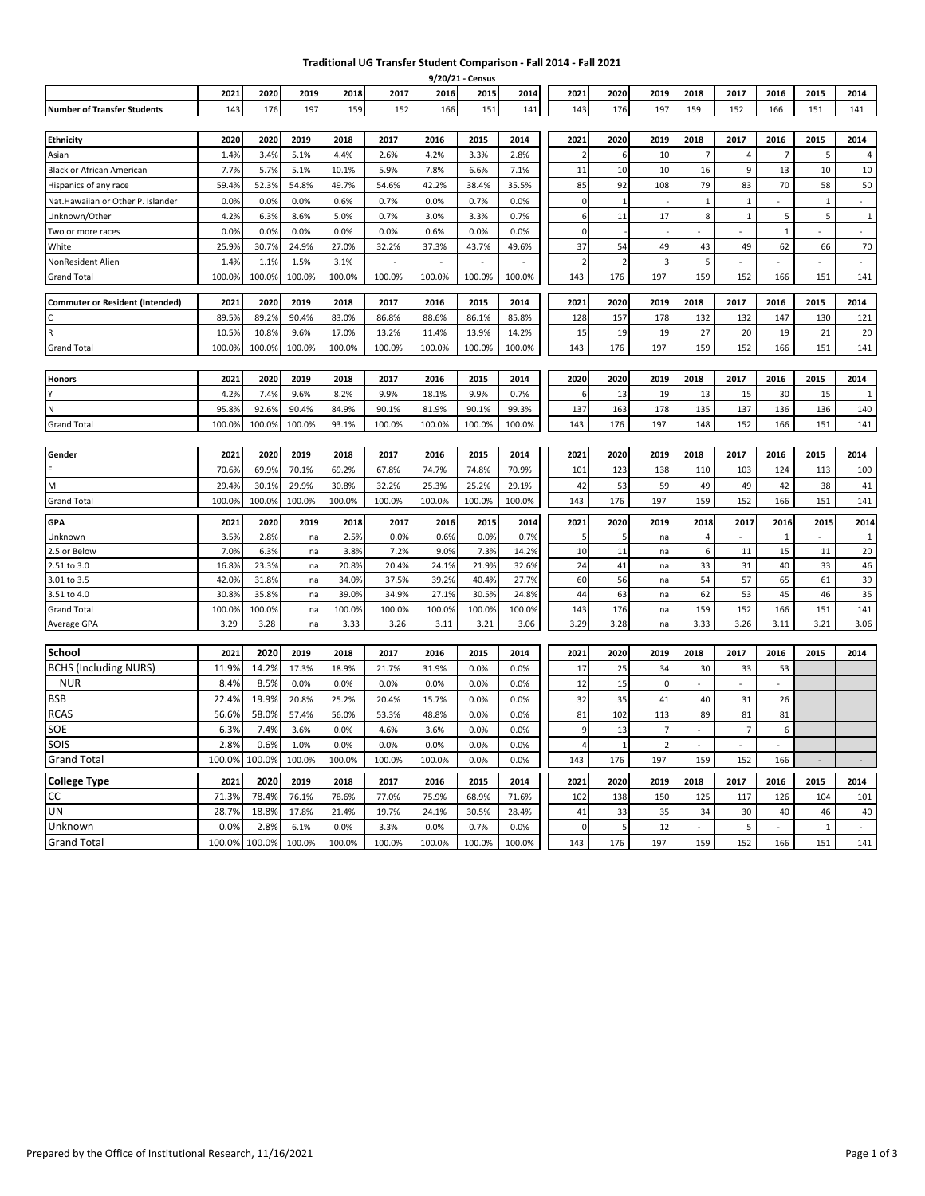## **Traditional UG Transfer Student Comparison - Fall 2014 - Fall 2021**

|                                        |               |               |          |              |              |              | 9/20/21 - Census |                |                   |                |                |                             |                |                |                    |                    |
|----------------------------------------|---------------|---------------|----------|--------------|--------------|--------------|------------------|----------------|-------------------|----------------|----------------|-----------------------------|----------------|----------------|--------------------|--------------------|
|                                        | 2021          | 2020          | 2019     | 2018         | 2017         | 2016         | 2015             | 2014           | 2021              | 2020           | 2019           | 2018                        | 2017           | 2016           | 2015               | 2014               |
| <b>Number of Transfer Students</b>     | 143           | 176           | 197      | 159          | 152          | 166          | 151              | 141            | 143               | 176            | 197            | 159                         | 152            | 166            | 151                | 141                |
|                                        |               |               |          |              |              |              |                  |                |                   |                |                |                             |                |                |                    |                    |
| <b>Ethnicity</b>                       | 2020          | 2020          | 2019     | 2018         | 2017         | 2016         | 2015             | 2014           | 2021              | 2020           | 2019           | 2018                        | 2017           | 2016           | 2015               | 2014               |
| Asian                                  | 1.4%          | 3.4%          | 5.1%     | 4.4%         | 2.6%         | 4.2%         | 3.3%             | 2.8%           | $\overline{2}$    | 6              | 10             | $\overline{7}$              | $\overline{a}$ | $\overline{7}$ | 5                  | 4                  |
| Black or African American              | 7.7%          | 5.7%          | 5.1%     | 10.1%        | 5.9%         | 7.8%         | 6.6%             | 7.1%           | 11                | 10             | 10             | 16                          | 9              | 13             | 10                 | 10                 |
| Hispanics of any race                  | 59.4%         | 52.3%         | 54.8%    | 49.7%        | 54.6%        | 42.2%        | 38.4%            | 35.5%          | 85                | 92             | 108            | 79                          | 83             | 70             | 58                 | 50                 |
| Nat.Hawaiian or Other P. Islander      | 0.0%          | 0.0%          | 0.0%     | 0.6%         | 0.7%         | 0.0%         | 0.7%             | 0.0%           | $\mathbf 0$       | $\mathbf{1}$   |                | $\mathbf{1}$                | $\mathbf{1}$   |                | $\mathbf{1}$       | $\omega$           |
| Unknown/Other                          | 4.2%          | 6.3%          | 8.6%     | 5.0%         | 0.7%         | 3.0%         | 3.3%             | 0.7%           | 6                 | 11             | 17             | 8                           | $\mathbf{1}$   | 5              | 5                  | $\mathbf 1$        |
| Two or more races                      | 0.09          | 0.0%          | 0.0%     | 0.0%         | 0.0%         | 0.6%         | 0.0%             | 0.0%           | $\mathbf{0}$      |                |                |                             |                | $\mathbf 1$    |                    | $\omega$           |
| White                                  | 25.99         | 30.7%         | 24.9%    | 27.0%        | 32.2%        | 37.3%        | 43.7%            | 49.6%          | 37                | 54             | 49             | 43                          | 49             | 62             | 66                 | 70                 |
| NonResident Alien                      | 1.49          | 1.1%          | 1.5%     | 3.1%         | ÷.           |              | ÷.               | ÷.             | $\overline{2}$    | $\overline{2}$ | в              | 5                           | ÷              | $\sim$         | ÷.                 | ÷                  |
| <b>Grand Total</b>                     | 100.09        | 100.0%        | 100.0%   | 100.0%       | 100.0%       | 100.0%       | 100.0%           | 100.0%         | 143               | 176            | 197            | 159                         | 152            | 166            | 151                | 141                |
| <b>Commuter or Resident (Intended)</b> | 2021          | 2020          | 2019     | 2018         | 2017         | 2016         | 2015             | 2014           | 2021              | 2020           | 2019           | 2018                        | 2017           | 2016           | 2015               | 2014               |
|                                        | 89.5%         | 89.2%         | 90.4%    | 83.0%        | 86.8%        | 88.6%        | 86.1%            | 85.8%          | 128               | 157            | 178            | 132                         | 132            | 147            | 130                | 121                |
|                                        | 10.5%         | 10.8%         | 9.6%     | 17.0%        | 13.2%        | 11.4%        | 13.9%            | 14.2%          | 15                | 19             | 19             | 27                          | 20             | 19             | 21                 | 20                 |
| <b>Grand Total</b>                     | 100.09        | 100.0%        | 100.0%   | 100.0%       | 100.0%       | 100.0%       | 100.0%           | 100.0%         | 143               | 176            | 197            | 159                         | 152            | 166            | 151                | 141                |
|                                        |               |               |          |              |              |              |                  |                |                   |                |                |                             |                |                |                    |                    |
| <b>Honors</b>                          | 2021          | 2020          | 2019     | 2018         | 2017         | 2016         | 2015             | 2014           | 2020              | 2020           | 2019           | 2018                        | 2017           | 2016           | 2015               | 2014               |
|                                        | 4.2%          | 7.4%          | 9.6%     | 8.2%         | 9.9%         | 18.1%        | 9.9%             | 0.7%           | 6                 | 13             | 19             | 13                          | 15             | 30             | 15                 | $\mathbf{1}$       |
| N                                      | 95.89         | 92.6%         | 90.4%    | 84.9%        | 90.1%        | 81.9%        | 90.1%            | 99.3%          | 137               | 163            | 178            | 135                         | 137            | 136            | 136                | 140                |
| <b>Grand Total</b>                     | 100.09        | 100.0%        | 100.0%   | 93.1%        | 100.0%       | 100.0%       | 100.0%           | 100.0%         | 143               | 176            | 197            | 148                         | 152            | 166            | 151                | 141                |
|                                        |               |               |          |              |              |              |                  |                |                   |                |                |                             |                |                |                    |                    |
| Gender                                 | 2021          | 2020          | 2019     | 2018         | 2017         | 2016         | 2015             | 2014           | 2021              | 2020           | 2019           | 2018                        | 2017           | 2016           | 2015               | 2014               |
|                                        | 70.69         | 69.9%         | 70.1%    | 69.2%        | 67.8%        | 74.7%        | 74.8%            | 70.9%          | 101               | 123            | 138            | 110                         | 103            | 124            | 113                | 100                |
| M                                      | 29.4%         | 30.1%         | 29.9%    | 30.8%        | 32.2%        | 25.3%        | 25.2%            | 29.1%          | 42                | 53             | 59             | 49                          | 49             | 42             | 38                 | 41                 |
| <b>Grand Total</b>                     | 100.09        | 100.0%        | 100.0%   | 100.0%       | 100.0%       | 100.0%       | 100.0%           | 100.0%         | 143               | 176            | 197            | 159                         | 152            | 166            | 151                | 141                |
|                                        |               |               |          |              |              |              |                  |                |                   |                |                |                             |                |                |                    |                    |
| <b>GPA</b>                             | 2021          | 2020          | 2019     | 2018         | 2017<br>0.0% | 2016         | 2015             | 2014           | 2021<br>5         | 2020<br>5      | 2019           | 2018                        | 2017<br>ä,     | 2016           | 2015<br>$\bar{z}$  | 2014               |
| Unknown                                | 3.5%<br>7.0%  | 2.8%<br>6.3%  | na       | 2.5%<br>3.8% | 7.2%         | 0.6%<br>9.0% | 0.0%<br>7.3%     | 0.7%           |                   |                | na             | $\overline{\mathbf{4}}$     |                | $\,1\,$        |                    | $\mathbf{1}$<br>20 |
| 2.5 or Below<br>2.51 to 3.0            | 16.89         | 23.3%         | na<br>na | 20.8%        | 20.4%        | 24.1%        | 21.9%            | 14.2%<br>32.6% | 10<br>24          | 11<br>41       | na<br>na       | 6<br>33                     | 11<br>31       | 15<br>40       | 11<br>33           | 46                 |
| 3.01 to 3.5                            | 42.09         | 31.8%         | na       | 34.0%        | 37.5%        | 39.2%        | 40.4%            | 27.7%          | 60                | 56             | na             | 54                          | 57             | 65             | 61                 | 39                 |
| 3.51 to 4.0                            | 30.89         | 35.8%         | na       | 39.0%        | 34.9%        | 27.1%        | 30.5%            | 24.8%          | 44                | 63             | na             | 62                          | 53             | 45             | 46                 | 35                 |
| <b>Grand Total</b>                     | 100.0%        | 100.0%        | na       | 100.0%       | 100.0%       | 100.0%       | 100.0%           | 100.0%         | 143               | 176            | na             | 159                         | 152            | 166            | 151                | 141                |
| Average GPA                            | 3.29          | 3.28          | na       | 3.33         | 3.26         | 3.11         | 3.21             | 3.06           | 3.29              | 3.28           | na             | 3.33                        | 3.26           | 3.11           | 3.21               | 3.06               |
|                                        |               |               |          |              |              |              |                  |                |                   |                |                |                             |                |                |                    |                    |
| School                                 | 2021          | 2020          | 2019     | 2018         | 2017         | 2016         | 2015             | 2014           | 2021              | 2020           | 2019           | 2018                        | 2017           | 2016           | 2015               | 2014               |
| <b>BCHS (Including NURS)</b>           | 11.9%         | 14.2%         | 17.3%    | 18.9%        | 21.7%        | 31.9%        | 0.0%             | 0.0%           | 17                | 25             | 34             | 30                          | 33             | 53             |                    |                    |
| <b>NUR</b>                             | 8.4%          | 8.5%          | 0.0%     | 0.0%         | 0.0%         | 0.0%         | 0.0%             | 0.0%           | 12                | 15             | $\Omega$       | $\mathbf{r}$                | L.             | $\sim$         |                    |                    |
| <b>BSB</b>                             | 22.4%         | 19.9%         | 20.8%    | 25.2%        | 20.4%        | 15.7%        | 0.0%             | 0.0%           | 32                | 35             | 41             | 40                          | 31             | 26             |                    |                    |
| <b>RCAS</b>                            | 56.6%         | 58.0%         | 57.4%    | 56.0%        | 53.3%        | 48.8%        | 0.0%             | 0.0%           | 81                | 102            | 113            | 89                          | 81             | 81             |                    |                    |
| SOE                                    | 6.3%          | 7.4%          | 3.6%     | 0.0%         | 4.6%         | 3.6%         | 0.0%             | 0.0%           | $\overline{9}$    | 13             | $\overline{7}$ | $\overline{\phantom{a}}$    | $\overline{7}$ | 6              |                    |                    |
| SOIS                                   | 2.8%          | 0.6%          | 1.0%     | 0.0%         | 0.0%         | 0.0%         | 0.0%             | 0.0%           | $\overline{4}$    | $\mathbf{1}$   | $\mathcal{I}$  | $\mathcal{L}_{\mathcal{A}}$ | ÷              | $\sim$         |                    |                    |
| <b>Grand Total</b>                     | 100.0%        | 100.0%        | 100.0%   | 100.0%       | 100.0%       | 100.0%       | 0.0%             | 0.0%           | 143               | 176            | 197            | 159                         | 152            | 166            |                    | $\sim$             |
|                                        | 2021          | 2020          | 2019     | 2018         | 2017         | 2016         | 2015             | 2014           | 2021              | 2020           | 2019           | 2018                        | 2017           | 2016           | 2015               | 2014               |
| <b>College Type</b><br>CC              | 71.3%         | 78.4%         | 76.1%    | 78.6%        | 77.0%        | 75.9%        | 68.9%            | 71.6%          | 102               | 138            |                |                             | 117            | 126            | 104                |                    |
| UN                                     |               |               |          |              |              |              |                  |                |                   |                | 150            | 125                         |                |                |                    | 101                |
| Unknown                                | 28.7%<br>0.0% | 18.8%<br>2.8% | 17.8%    | 21.4%        | 19.7%        | 24.1%        | 30.5%<br>0.7%    | 28.4%          | 41<br>$\mathbf 0$ | 33<br>5        | 35             | 34                          | 30<br>5        | 40             | 46<br>$\mathbf{1}$ | 40                 |
|                                        |               |               | 6.1%     | 0.0%         | 3.3%         | 0.0%         |                  | 0.0%           |                   |                | 12             |                             |                |                |                    |                    |
| <b>Grand Total</b>                     | 100.0%        | 100.0%        | 100.0%   | 100.0%       | 100.0%       | 100.0%       | 100.0%           | 100.0%         | 143               | 176            | 197            | 159                         | 152            | 166            | 151                | 141                |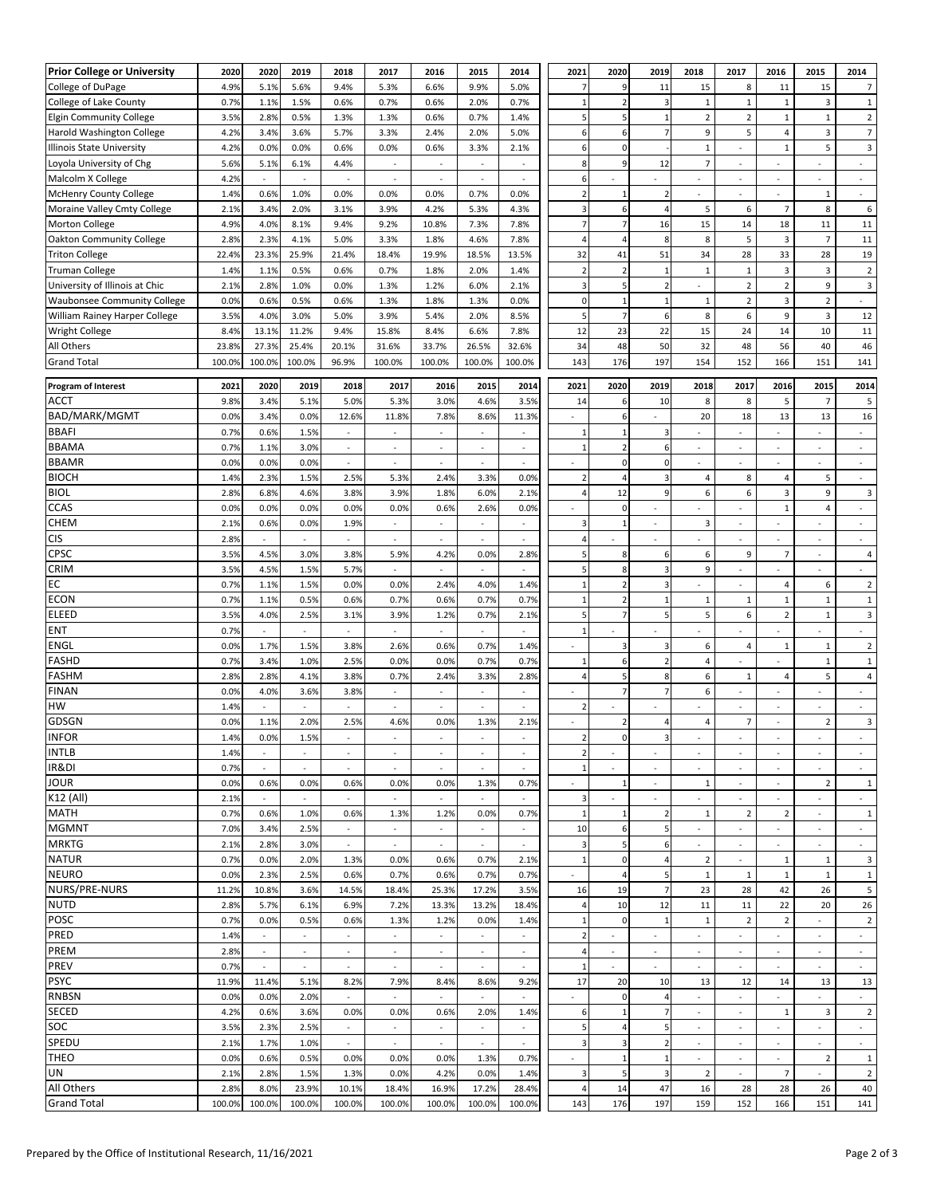| <b>Prior College or University</b> | 2020   | 2020                     | 2019                     | 2018                     | 2017                     | 2016                     | 2015                     | 2014                     | 2021                     | 2020           | 2019                     | 2018                     | 2017                     | 2016                     | 2015                     | 2014                          |
|------------------------------------|--------|--------------------------|--------------------------|--------------------------|--------------------------|--------------------------|--------------------------|--------------------------|--------------------------|----------------|--------------------------|--------------------------|--------------------------|--------------------------|--------------------------|-------------------------------|
| College of DuPage                  | 4.9%   | 5.1%                     | 5.6%                     | 9.4%                     | 5.3%                     | 6.6%                     | 9.9%                     | 5.0%                     |                          | 9              | 11                       | 15                       | 8                        | 11                       | 15                       | $\overline{7}$                |
| College of Lake County             | 0.7%   | 1.1%                     | 1.5%                     | 0.6%                     | 0.7%                     | 0.6%                     | 2.0%                     | 0.7%                     | $\mathbf{1}$             | $\overline{2}$ | 3                        | $\mathbf{1}$             | $\mathbf 1$              | $\mathbf 1$              | $\overline{3}$           | $\mathbf 1$                   |
| <b>Elgin Community College</b>     | 3.5%   | 2.8%                     | 0.5%                     | 1.3%                     | 1.3%                     | 0.6%                     | 0.7%                     | 1.4%                     | 5                        | 5              |                          | $\mathbf 2$              | $\overline{2}$           | $\,1\,$                  | $\mathbf 1$              | $\sqrt{2}$                    |
| Harold Washington College          | 4.2%   | 3.4%                     | 3.6%                     | 5.7%                     | 3.3%                     | 2.4%                     | 2.0%                     | 5.0%                     | 6                        | 6              |                          | 9                        | 5                        | $\overline{4}$           | 3                        | $\overline{7}$                |
| Illinois State University          | 4.2%   | 0.0%                     | 0.0%                     | 0.6%                     | 0.0%                     | 0.6%                     | 3.3%                     | 2.1%                     | 6                        | 0              |                          | $\mathbf{1}$             | $\overline{\phantom{a}}$ | $\mathbf 1$              | 5                        | $\overline{\mathbf{3}}$       |
| Loyola University of Chg           | 5.6%   | 5.1%                     | 6.1%                     | 4.4%                     | $\overline{\phantom{a}}$ |                          | $\overline{\phantom{a}}$ | $\sim$                   | 8                        | 9              | 12                       | $\overline{7}$           | $\overline{\phantom{a}}$ | $\sim$                   |                          | $\bar{a}$                     |
| Malcolm X College                  | 4.2%   | $\sim$                   | $\sim$                   | $\sim$                   | $\overline{\phantom{a}}$ |                          | $\sim$                   | $\bar{a}$                | 6                        |                |                          |                          | ٠                        |                          |                          | $\overline{\phantom{a}}$      |
| McHenry County College             | 1.4%   | 0.6%                     | 1.0%                     | 0.0%                     | 0.0%                     | 0.0%                     | 0.7%                     | 0.0%                     | $\overline{2}$           | $\mathbf 1$    |                          | ÷.                       | ÷.                       | $\omega$                 | $\mathbf 1$              | ä,                            |
| Moraine Valley Cmty College        | 2.1%   | 3.4%                     | 2.0%                     | 3.1%                     | 3.9%                     | 4.2%                     | 5.3%                     | 4.3%                     | $\overline{3}$           | 6              |                          | 5                        | 6                        | $\overline{7}$           | 8                        | 6                             |
| Morton College                     | 4.9%   | 4.0%                     | 8.1%                     | 9.4%                     | 9.2%                     | 10.8%                    | 7.3%                     | 7.8%                     | $\overline{7}$           | $\overline{7}$ | 16                       | 15                       | 14                       | 18                       | $11\,$                   | $11\,$                        |
| <b>Oakton Community College</b>    | 2.8%   | 2.3%                     | 4.1%                     | 5.0%                     | 3.3%                     | 1.8%                     | 4.6%                     | 7.8%                     | $\overline{a}$           | $\overline{4}$ | 8                        | 8                        | 5                        | $\mathsf 3$              | $\overline{7}$           | 11                            |
| <b>Triton College</b>              | 22.4%  | 23.3%                    | 25.9%                    | 21.4%                    | 18.4%                    | 19.9%                    | 18.5%                    | 13.5%                    | 32                       | 41             | 51                       | 34                       | 28                       | 33                       | 28                       | 19                            |
| <b>Truman College</b>              | 1.4%   | 1.1%                     | 0.5%                     | 0.6%                     | 0.7%                     | 1.8%                     | 2.0%                     | 1.4%                     | $\overline{2}$           | $\overline{2}$ | 1                        | $\mathbf 1$              | $\mathbf 1$              | $\mathsf 3$              | $\overline{3}$           | $\sqrt{2}$                    |
| University of Illinois at Chic     | 2.1%   | 2.8%                     | 1.0%                     | 0.0%                     | 1.3%                     | 1.2%                     | 6.0%                     | 2.1%                     | $\overline{3}$           | 5              |                          |                          | $\overline{2}$           | $\mathbf 2$              | 9                        | $\mathsf 3$                   |
| <b>Waubonsee Community College</b> | 0.0%   | 0.6%                     | 0.5%                     | 0.6%                     | 1.3%                     | 1.8%                     | 1.3%                     | 0.0%                     | $\mathbf 0$              | $\mathbf 1$    | $\mathbf{1}$             | $\mathbf{1}$             | $\sqrt{2}$               | $\mathsf 3$              | $\overline{2}$           | $\sim$                        |
| William Rainey Harper College      | 3.5%   | 4.0%                     | 3.0%                     | 5.0%                     | 3.9%                     | 5.4%                     | 2.0%                     | 8.5%                     | 5                        | $\overline{7}$ | 6                        | 8                        | $\boldsymbol{6}$         | 9                        | $\overline{3}$           | 12                            |
| Wright College                     | 8.4%   | 13.1%                    | 11.2%                    | 9.4%                     | 15.8%                    | 8.4%                     | 6.6%                     | 7.8%                     | 12                       | 23             | 22                       | 15                       | 24                       | 14                       | 10                       | $11\,$                        |
| All Others                         | 23.8%  | 27.3%                    | 25.4%                    | 20.1%                    | 31.6%                    | 33.7%                    | 26.5%                    | 32.6%                    | 34                       | 48             | 50                       | 32                       | 48                       | 56                       | 40                       | 46                            |
|                                    |        |                          |                          |                          |                          |                          |                          |                          | 143                      |                | 197                      | 154                      | 152                      | 166                      | 151                      |                               |
| <b>Grand Total</b>                 | 100.0% | 100.0%                   | 100.0%                   | 96.9%                    | 100.0%                   | 100.0%                   | 100.0%                   | 100.0%                   |                          | 176            |                          |                          |                          |                          |                          | 141                           |
| <b>Program of Interest</b>         | 2021   | 2020                     | 2019                     | 2018                     | 2017                     | 2016                     | 2015                     | 2014                     | 2021                     | 2020           | 2019                     | 2018                     | 2017                     | 2016                     | 2015                     | 2014                          |
| <b>ACCT</b>                        | 9.8%   | 3.4%                     | 5.1%                     | 5.0%                     | 5.3%                     | 3.0%                     | 4.6%                     | 3.5%                     | 14                       | 6              | 10                       | 8                        | 8                        | 5                        | $\overline{7}$           | 5                             |
| BAD/MARK/MGMT                      | 0.0%   | 3.4%                     | 0.0%                     | 12.6%                    | 11.8%                    | 7.8%                     | 8.6%                     | 11.3%                    | ÷                        | 6              |                          | 20                       | 18                       | 13                       | 13                       | 16                            |
| <b>BBAFI</b>                       | 0.7%   | 0.6%                     | 1.5%                     | $\sim$                   | $\sim$                   |                          | $\sim$                   |                          | $\mathbf{1}$             | $\mathbf{1}$   |                          |                          |                          |                          |                          |                               |
| <b>BBAMA</b>                       | 0.7%   | 1.1%                     | 3.0%                     | $\omega$                 | $\sim$                   | ×                        | $\sim$                   | $\omega$                 | $\mathbf{1}$             | $\mathbf 2$    | 6                        | ÷                        | ÷.                       | $\omega$                 | $\sim$                   | $\omega$                      |
| <b>BBAMR</b>                       | 0.0%   | 0.0%                     | 0.0%                     | $\overline{\phantom{a}}$ | $\overline{\phantom{a}}$ |                          | $\overline{\phantom{a}}$ |                          | $\sim$                   | 0              | 0                        |                          |                          | $\sim$                   |                          | $\overline{\phantom{a}}$      |
| <b>BIOCH</b>                       | 1.4%   | 2.3%                     | 1.5%                     | 2.5%                     | 5.3%                     | 2.4%                     | 3.3%                     | 0.0%                     | $\overline{2}$           | $\overline{4}$ | 3                        | 4                        | 8                        | $\overline{a}$           | 5                        | ٠                             |
| <b>BIOL</b>                        | 2.8%   | 6.8%                     | 4.6%                     | 3.8%                     | 3.9%                     | 1.8%                     | 6.0%                     | 2.1%                     | 4                        | 12             | 9                        | 6                        | 6                        | 3                        | 9                        | $\overline{\mathbf{3}}$       |
| CCAS                               | 0.0%   | 0.0%                     | 0.0%                     | 0.0%                     | 0.0%                     | 0.6%                     | 2.6%                     | 0.0%                     | ä,                       | 0              |                          | ä,                       | $\blacksquare$           | $\mathbf 1$              | $\overline{4}$           | $\overline{\phantom{a}}$      |
| <b>CHEM</b>                        | 2.1%   | 0.6%                     | 0.0%                     | 1.9%                     | $\sim$                   | $\sim$                   | $\sim$                   | $\bar{a}$                | 3                        | $\mathbf{1}$   |                          | 3                        | $\sim$                   | $\sim$                   |                          | $\sim$                        |
| <b>CIS</b>                         | 2.8%   | $\overline{\phantom{a}}$ | $\mathbf{r}$             | $\overline{\phantom{a}}$ | $\sim$                   |                          | $\sim$                   | $\omega$                 | $\overline{a}$           |                |                          |                          | $\overline{\phantom{a}}$ | ×                        | $\sim$                   | $\omega$                      |
| CPSC                               | 3.5%   | 4.5%                     | 3.0%                     | 3.8%                     | 5.9%                     | 4.2%                     | 0.0%                     | 2.8%                     | 5                        | 8              | 6                        | 6                        | 9                        | $\overline{7}$           | $\overline{\phantom{a}}$ | $\sqrt{4}$                    |
| CRIM                               | 3.5%   | 4.5%                     | 1.5%                     | 5.7%                     | $\sim$                   | $\sim$                   |                          | ÷.                       | 5                        | 8              | з                        | 9                        |                          |                          |                          | $\omega$                      |
| EC                                 | 0.7%   | 1.1%                     | 1.5%                     | 0.0%                     | 0.0%                     | 2.4%                     | 4.0%                     | 1.4%                     | $\mathbf{1}$             | $\mathbf 2$    |                          |                          |                          | 4                        | 6                        |                               |
| <b>ECON</b>                        | 0.7%   | 1.1%                     | 0.5%                     | 0.6%                     | 0.7%                     | 0.6%                     | 0.7%                     | 0.7%                     | $\mathbf{1}$             | $\mathbf 2$    | 1                        | $\mathbf{1}$             | $\mathbf{1}$             | $\mathbf 1$              | $\mathbf{1}$             | $\overline{2}$<br>$\mathbf 1$ |
| <b>ELEED</b>                       | 3.5%   | 4.0%                     |                          |                          | 3.9%                     |                          | 0.7%                     |                          | 5                        | $\overline{7}$ | 5                        | 5                        | 6                        | $\overline{2}$           | $\mathbf 1$              | $\mathsf 3$                   |
| <b>ENT</b>                         | 0.7%   |                          | 2.5%                     | 3.1%<br>$\sim$           |                          | 1.2%                     |                          | 2.1%                     |                          |                |                          |                          |                          | $\sim$                   |                          |                               |
|                                    |        |                          |                          |                          |                          |                          |                          |                          |                          |                |                          |                          |                          |                          |                          | $\blacksquare$                |
| <b>ENGL</b>                        | 0.0%   | 1.7%                     | 1.5%                     | 3.8%                     | 2.6%                     | 0.6%                     | 0.7%                     | 1.4%                     | $\overline{\phantom{a}}$ | 3              | 3                        | 6                        | $\overline{a}$           | $\,1\,$                  | $\mathbf 1$              | $\mathbf 2$                   |
| <b>FASHD</b>                       | 0.7%   | 3.4%                     | 1.0%                     | 2.5%                     | 0.0%                     | 0.0%                     | 0.7%                     | 0.7%                     | $\mathbf{1}$             | 6              | $\overline{2}$           | $\overline{\mathbf{4}}$  | ä,                       |                          | $\mathbf 1$              | $\,1\,$                       |
| <b>FASHM</b>                       | 2.8%   | 2.8%                     | 4.1%                     | 3.8%                     | 0.7%                     | 2.4%                     | 3.3%                     | 2.8%                     |                          | 5              | R                        | 6                        | $\mathbf{1}$             | 4                        | 5                        | $\sqrt{4}$                    |
| <b>FINAN</b>                       | 0.0%   | 4.0%                     | 3.6%                     | 3.8%                     | $\sim$                   | ×                        | $\overline{\phantom{a}}$ | $\omega$                 | $\overline{\phantom{a}}$ | $\overline{7}$ | $\overline{ }$           | 6                        | $\overline{\phantom{a}}$ | ×                        | $\overline{\phantom{a}}$ | $\overline{\phantom{a}}$      |
| HW                                 | 1.4%   |                          |                          | $\sim$                   | $\sim$                   | $\overline{\phantom{a}}$ | $\sim$                   | $\sim$                   | $\overline{\mathbf{c}}$  |                |                          |                          | ٠                        | ٠                        |                          | $\bar{a}$                     |
| <b>GDSGN</b>                       | 0.0%   | 1.1%                     | 2.0%                     | 2.5%                     | 4.6%                     | 0.0%                     | 1.3%                     | 2.1%                     | ÷                        | $\mathbf 2$    | $\Delta$                 | $\overline{\mathbf{4}}$  | $\overline{7}$           | $\sim$                   | $\overline{2}$           | $\mathsf 3$                   |
| <b>INFOR</b>                       | 1.4%   | 0.0%                     | 1.5%                     |                          |                          |                          |                          |                          |                          | 0              | $\overline{\mathbf{z}}$  |                          |                          |                          |                          |                               |
| <b>INTLB</b>                       | 1.4%   | $\sim$                   | $\omega$                 | $\overline{\phantom{a}}$ | $\overline{\phantom{a}}$ | $\sim$                   | $\overline{\phantom{a}}$ | $\overline{\phantom{a}}$ | $\overline{2}$           | $\sim$         |                          | $\sim$                   | $\sim$                   | $\sim$                   |                          |                               |
| IR&DI                              | 0.7%   | $\sim$                   | $\bar{a}$                | $\sim$                   | $\sim$                   | $\sim$                   | $\sim$                   | $\sim$                   | -1                       | $\sim$         | $\sim$                   | $\sim$                   | $\sim$                   | $\sim$                   | $\sim$                   | $\sim$                        |
| <b>JOUR</b>                        | 0.0%   | 0.6%                     | 0.0%                     | 0.6%                     | 0.0%                     | 0.0%                     | 1.3%                     | 0.7%                     | $\omega$                 | $\mathbf{1}$   | $\mathbf{r}$             | $\mathbf 1$              | $\omega$                 | ÷.                       | $\overline{2}$           | $\mathbf{1}$                  |
| K12 (All)                          | 2.1%   |                          | $\overline{\phantom{a}}$ | $\overline{\phantom{a}}$ | $\overline{\phantom{a}}$ | ×                        | $\overline{\phantom{a}}$ | $\omega$                 | 3                        | $\sim$         |                          | ÷.                       | $\blacksquare$           | $\sim$                   |                          | $\blacksquare$                |
| <b>MATH</b>                        | 0.7%   | 0.6%                     | 1.0%                     | 0.6%                     | 1.3%                     | 1.2%                     | 0.0%                     | 0.7%                     | $\mathbf{1}$             | 1              |                          | 1                        | $\overline{2}$           | $\overline{2}$           | $\sim$                   | 1                             |
| <b>MGMNT</b>                       | 7.0%   | 3.4%                     | 2.5%                     | $\omega$                 | $\omega$                 | $\sim$                   | $\omega$                 | $\omega$                 | 10                       | 6              |                          | $\sim$                   | $\omega$                 | $\sim$                   | ÷                        | ÷.                            |
| <b>MRKTG</b>                       | 2.1%   | 2.8%                     | 3.0%                     | $\overline{\phantom{a}}$ | $\overline{\phantom{a}}$ | $\overline{\phantom{a}}$ | $\sim$                   | $\blacksquare$           | 3                        | 5              | 6                        | $\sim$                   | $\overline{\phantom{a}}$ | $\sim$                   | $\sim$                   | $\sim$                        |
| <b>NATUR</b>                       | 0.7%   | 0.0%                     | 2.0%                     | 1.3%                     | 0.0%                     | 0.6%                     | 0.7%                     | 2.1%                     | $\mathbf{1}$             | 0              |                          | $\overline{2}$           | $\blacksquare$           | $1\,$                    | $\mathbf{1}$             | 3                             |
| <b>NEURO</b>                       | 0.0%   | 2.3%                     | 2.5%                     | 0.6%                     | 0.7%                     | 0.6%                     | 0.7%                     | 0.7%                     | $\overline{\phantom{a}}$ | 4              | 5                        | $\mathbf{1}$             | $\mathbf{1}$             | $\mathbf 1$              | $\mathbf{1}$             | $\mathbf{1}$                  |
| NURS/PRE-NURS                      | 11.2%  | 10.8%                    | 3.6%                     | 14.5%                    | 18.4%                    | 25.3%                    | 17.2%                    | 3.5%                     | 16                       | 19             | $\overline{7}$           | 23                       | 28                       | 42                       | 26                       | 5                             |
| <b>NUTD</b>                        | 2.8%   | 5.7%                     | 6.1%                     | 6.9%                     | 7.2%                     | 13.3%                    | 13.2%                    | 18.4%                    | $\overline{a}$           | 10             | 12                       | $11\,$                   | $11\,$                   | 22                       | 20                       | 26                            |
| POSC                               | 0.7%   | 0.0%                     | 0.5%                     | 0.6%                     | 1.3%                     | 1.2%                     | 0.0%                     | 1.4%                     | $\overline{1}$           | 0              |                          | $\mathbf{1}$             | $\overline{2}$           | $\overline{2}$           |                          | $\overline{2}$                |
| PRED                               | 1.4%   | ÷                        | $\overline{\phantom{a}}$ | $\overline{\phantom{a}}$ | $\overline{\phantom{a}}$ | $\overline{\phantom{a}}$ | $\overline{\phantom{a}}$ | $\blacksquare$           | $\overline{2}$           | $\sim$         | $\overline{\phantom{a}}$ | $\overline{\phantom{a}}$ | $\overline{\phantom{a}}$ | $\sim$                   | $\overline{\phantom{a}}$ | $\overline{\phantom{a}}$      |
| PREM                               | 2.8%   | $\sim$                   | $\overline{\phantom{a}}$ | $\overline{\phantom{a}}$ | $\overline{\phantom{a}}$ | $\sim$                   | $\blacksquare$           | $\blacksquare$           | $\overline{a}$           | $\sim$         | $\bar{a}$                | $\sim$                   | $\overline{\phantom{a}}$ | $\sim$                   | $\sim$                   | $\overline{\phantom{a}}$      |
| PREV                               | 0.7%   | $\sim$                   | $\omega$                 | $\sim$                   | $\sim$                   | $\sim$                   | $\sim$                   | ÷.                       | $\mathbf{1}$             |                |                          | $\overline{\phantom{a}}$ | $\sim$                   | $\sim$                   | $\sim$                   | $\bar{a}$                     |
| <b>PSYC</b>                        | 11.9%  | 11.4%                    | 5.1%                     | 8.2%                     | 7.9%                     | 8.4%                     | 8.6%                     | 9.2%                     | 17                       | 20             | 10                       | 13                       | 12                       | 14                       | 13                       | 13                            |
| <b>RNBSN</b>                       | 0.0%   | 0.0%                     | 2.0%                     | $\overline{\phantom{a}}$ | $\overline{\phantom{a}}$ | $\overline{\phantom{a}}$ | $\overline{\phantom{a}}$ | $\overline{\phantom{a}}$ | $\overline{\phantom{a}}$ | 0              | 4                        | $\overline{\phantom{a}}$ | $\overline{\phantom{a}}$ | $\overline{\phantom{a}}$ |                          | $\overline{\phantom{a}}$      |
| SECED                              | 4.2%   | 0.6%                     | 3.6%                     | 0.0%                     | 0.0%                     | 0.6%                     | 2.0%                     | 1.4%                     | 6                        | $\mathbf 1$    | $\overline{7}$           |                          | ٠                        | $\mathbf{1}$             | 3                        | $\overline{2}$                |
| SOC                                | 3.5%   | 2.3%                     | 2.5%                     | $\omega$                 | $\omega$                 | $\omega$                 | $\omega$                 | $\omega$                 | 5                        | 4              | 5                        | $\omega$                 | $\omega$                 | ÷.                       | $\omega$                 | ÷.                            |
| SPEDU                              | 2.1%   | 1.7%                     | 1.0%                     | $\overline{\phantom{a}}$ | $\overline{\phantom{a}}$ | $\overline{\phantom{a}}$ | $\overline{\phantom{a}}$ | $\overline{\phantom{a}}$ | 3                        | 3              | $\overline{2}$           | $\overline{\phantom{a}}$ | $\overline{\phantom{a}}$ | $\overline{\phantom{a}}$ | $\overline{\phantom{a}}$ | $\overline{\phantom{a}}$      |
| <b>THEO</b>                        | 0.0%   | 0.6%                     | 0.5%                     | 0.0%                     | 0.0%                     | 0.0%                     | 1.3%                     | 0.7%                     | $\overline{\phantom{a}}$ | $\mathbf 1$    | -1                       | $\overline{\phantom{a}}$ | $\overline{\phantom{a}}$ | $\sim$                   | $\overline{2}$           | $\mathbf{1}$                  |
| UN                                 | 2.1%   | 2.8%                     | 1.5%                     | 1.3%                     | 0.0%                     | 4.2%                     | 0.0%                     | 1.4%                     | 3                        | 5              | 3                        | $\overline{2}$           | $\overline{\phantom{a}}$ | $\overline{7}$           | $\omega$                 | $\overline{2}$                |
| All Others                         | 2.8%   | 8.0%                     | 23.9%                    | 10.1%                    | 18.4%                    | 16.9%                    | 17.2%                    | 28.4%                    | 4                        | 14             | 47                       | 16                       | 28                       | 28                       | 26                       | 40                            |
| <b>Grand Total</b>                 | 100.0% | 100.0%                   | 100.0%                   | 100.0%                   | 100.0%                   | 100.0%                   | 100.0%                   | 100.0%                   | 143                      | 176            | 197                      | 159                      | 152                      | 166                      | 151                      | 141                           |